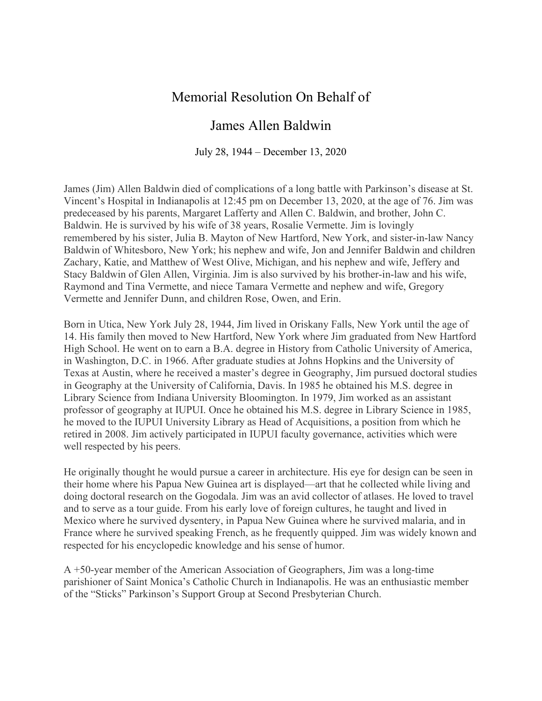## Memorial Resolution On Behalf of

## James Allen Baldwin

July 28, 1944 – December 13, 2020

James (Jim) Allen Baldwin died of complications of a long battle with Parkinson's disease at St. Vincent's Hospital in Indianapolis at 12:45 pm on December 13, 2020, at the age of 76. Jim was predeceased by his parents, Margaret Lafferty and Allen C. Baldwin, and brother, John C. Baldwin. He is survived by his wife of 38 years, Rosalie Vermette. Jim is lovingly remembered by his sister, Julia B. Mayton of New Hartford, New York, and sister-in-law Nancy Baldwin of Whitesboro, New York; his nephew and wife, Jon and Jennifer Baldwin and children Zachary, Katie, and Matthew of West Olive, Michigan, and his nephew and wife, Jeffery and Stacy Baldwin of Glen Allen, Virginia. Jim is also survived by his brother-in-law and his wife, Raymond and Tina Vermette, and niece Tamara Vermette and nephew and wife, Gregory Vermette and Jennifer Dunn, and children Rose, Owen, and Erin.

Born in Utica, New York July 28, 1944, Jim lived in Oriskany Falls, New York until the age of 14. His family then moved to New Hartford, New York where Jim graduated from New Hartford High School. He went on to earn a B.A. degree in History from Catholic University of America, in Washington, D.C. in 1966. After graduate studies at Johns Hopkins and the University of Texas at Austin, where he received a master's degree in Geography, Jim pursued doctoral studies in Geography at the University of California, Davis. In 1985 he obtained his M.S. degree in Library Science from Indiana University Bloomington. In 1979, Jim worked as an assistant professor of geography at IUPUI. Once he obtained his M.S. degree in Library Science in 1985, he moved to the IUPUI University Library as Head of Acquisitions, a position from which he retired in 2008. Jim actively participated in IUPUI faculty governance, activities which were well respected by his peers.

He originally thought he would pursue a career in architecture. His eye for design can be seen in their home where his Papua New Guinea art is displayed—art that he collected while living and doing doctoral research on the Gogodala. Jim was an avid collector of atlases. He loved to travel and to serve as a tour guide. From his early love of foreign cultures, he taught and lived in Mexico where he survived dysentery, in Papua New Guinea where he survived malaria, and in France where he survived speaking French, as he frequently quipped. Jim was widely known and respected for his encyclopedic knowledge and his sense of humor.

A +50-year member of the American Association of Geographers, Jim was a long-time parishioner of Saint Monica's Catholic Church in Indianapolis. He was an enthusiastic member of the "Sticks" Parkinson's Support Group at Second Presbyterian Church.